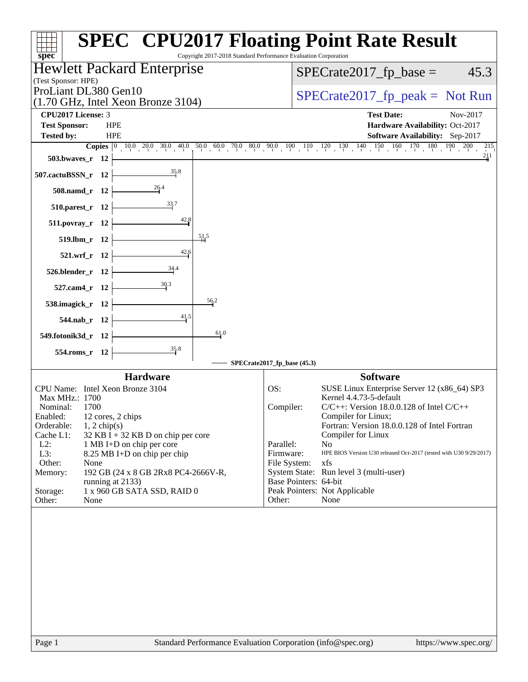| $spec^*$                                                                                 | <b>SPEC<sup>®</sup> CPU2017 Floating Point Rate Result</b><br>Copyright 2017-2018 Standard Performance Evaluation Corporation |
|------------------------------------------------------------------------------------------|-------------------------------------------------------------------------------------------------------------------------------|
| Hewlett Packard Enterprise                                                               | $SPECrate2017_fp\_base =$<br>45.3                                                                                             |
| (Test Sponsor: HPE)<br>ProLiant DL380 Gen10                                              |                                                                                                                               |
| $(1.70 \text{ GHz}, \text{Intel Xeon Bronze } 3104)$                                     | $SPECrate2017_fp\_peak = Not Run$                                                                                             |
| <b>CPU2017 License: 3</b>                                                                | <b>Test Date:</b><br>Nov-2017                                                                                                 |
| <b>Test Sponsor:</b><br><b>HPE</b>                                                       | Hardware Availability: Oct-2017                                                                                               |
| <b>Tested by:</b><br><b>HPE</b>                                                          | Software Availability: Sep-2017                                                                                               |
| 503.bwaves_r 12                                                                          | 215<br>211                                                                                                                    |
| 35.8<br>507.cactuBSSN_r 12                                                               |                                                                                                                               |
| 508.namd_r 12                                                                            |                                                                                                                               |
| 33.7<br>510.parest_r 12                                                                  |                                                                                                                               |
| 42.8<br>511.povray_r 12                                                                  |                                                                                                                               |
| 51,5<br>519.lbm_r 12                                                                     |                                                                                                                               |
| 42,6<br>521.wrf_r 12                                                                     |                                                                                                                               |
| 34.4<br>526.blender_r 12                                                                 |                                                                                                                               |
| 30.3<br>527.cam4_r 12                                                                    |                                                                                                                               |
| 538.imagick_r 12                                                                         | 56.2                                                                                                                          |
| 41.5<br>544.nab_r 12                                                                     |                                                                                                                               |
| 549.fotonik3d_r 12                                                                       | 61.0                                                                                                                          |
| $\frac{35.8}{4}$<br>554.roms_r 12                                                        |                                                                                                                               |
|                                                                                          | SPECrate2017_fp_base (45.3)                                                                                                   |
| <b>Hardware</b>                                                                          | <b>Software</b>                                                                                                               |
| CPU Name: Intel Xeon Bronze 3104                                                         | OS:<br>SUSE Linux Enterprise Server 12 (x86_64) SP3<br>Kernel 4.4.73-5-default                                                |
| Max MHz.: 1700<br>Nominal:<br>1700                                                       | $C/C++$ : Version 18.0.0.128 of Intel $C/C++$<br>Compiler:                                                                    |
| Enabled: 12 cores, 2 chips                                                               | Compiler for Linux;                                                                                                           |
| $1, 2$ chip(s)<br>Orderable:                                                             | Fortran: Version 18.0.0.128 of Intel Fortran                                                                                  |
| Cache L1:<br>$32$ KB I + 32 KB D on chip per core<br>$L2$ :<br>1 MB I+D on chip per core | Compiler for Linux<br>Parallel:<br>No                                                                                         |
| L3:<br>8.25 MB I+D on chip per chip                                                      | Firmware:<br>HPE BIOS Version U30 released Oct-2017 (tested with U30 9/29/2017)                                               |
| Other:<br>None                                                                           | File System:<br>xfs                                                                                                           |
| 192 GB (24 x 8 GB 2Rx8 PC4-2666V-R,<br>Memory:<br>running at 2133)                       | System State: Run level 3 (multi-user)<br>Base Pointers: 64-bit                                                               |
| Storage:<br>1 x 960 GB SATA SSD, RAID 0                                                  | Peak Pointers: Not Applicable                                                                                                 |
| Other:<br>None                                                                           | Other:<br>None                                                                                                                |
|                                                                                          |                                                                                                                               |
| Page 1                                                                                   | Standard Performance Evaluation Corporation (info@spec.org)<br>https://www.spec.org/                                          |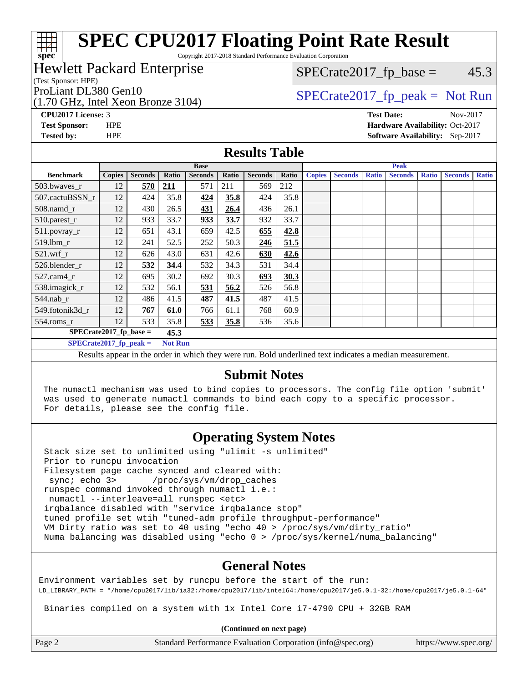Copyright 2017-2018 Standard Performance Evaluation Corporation

### Hewlett Packard Enterprise

(Test Sponsor: HPE)

**[spec](http://www.spec.org/)**

(1.70 GHz, Intel Xeon Bronze 3104)

 $SPECTate2017<sub>fp</sub> base =  $45.3$$ 

# ProLiant DL380 Gen10  $SPECTA = 2017$   $SPECTA = 2017$   $SPECTA = 2017$   $S. 2017$   $S. 3017$   $S. 5017$   $S. 5017$   $S. 5017$   $S. 5017$   $S. 5017$   $S. 5017$   $S. 5017$   $S. 5017$   $S. 5017$   $S. 5017$   $S. 5017$   $S. 5017$   $S. 5017$   $S. 5017$   $S.$

**[CPU2017 License:](http://www.spec.org/auto/cpu2017/Docs/result-fields.html#CPU2017License)** 3 **[Test Date:](http://www.spec.org/auto/cpu2017/Docs/result-fields.html#TestDate)** Nov-2017 **[Test Sponsor:](http://www.spec.org/auto/cpu2017/Docs/result-fields.html#TestSponsor)** HPE **[Hardware Availability:](http://www.spec.org/auto/cpu2017/Docs/result-fields.html#HardwareAvailability)** Oct-2017 **[Tested by:](http://www.spec.org/auto/cpu2017/Docs/result-fields.html#Testedby)** HPE **[Software Availability:](http://www.spec.org/auto/cpu2017/Docs/result-fields.html#SoftwareAvailability)** Sep-2017

### **[Results Table](http://www.spec.org/auto/cpu2017/Docs/result-fields.html#ResultsTable)**

|                                                                                                        | <b>Base</b>   |                |            |                |       | <b>Peak</b>    |       |               |                |              |                |              |                |              |
|--------------------------------------------------------------------------------------------------------|---------------|----------------|------------|----------------|-------|----------------|-------|---------------|----------------|--------------|----------------|--------------|----------------|--------------|
| <b>Benchmark</b>                                                                                       | <b>Copies</b> | <b>Seconds</b> | Ratio      | <b>Seconds</b> | Ratio | <b>Seconds</b> | Ratio | <b>Copies</b> | <b>Seconds</b> | <b>Ratio</b> | <b>Seconds</b> | <b>Ratio</b> | <b>Seconds</b> | <b>Ratio</b> |
| $503.bwaves_r$                                                                                         | 12            | 570            | <u>211</u> | 571            | 211   | 569            | 212   |               |                |              |                |              |                |              |
| 507.cactuBSSN r                                                                                        | 12            | 424            | 35.8       | 424            | 35.8  | 424            | 35.8  |               |                |              |                |              |                |              |
| $508$ .namd $_r$                                                                                       | 12            | 430            | 26.5       | <u>431</u>     | 26.4  | 436            | 26.1  |               |                |              |                |              |                |              |
| 510.parest_r                                                                                           | 12            | 933            | 33.7       | 933            | 33.7  | 932            | 33.7  |               |                |              |                |              |                |              |
| 511.povray_r                                                                                           | 12            | 651            | 43.1       | 659            | 42.5  | 655            | 42.8  |               |                |              |                |              |                |              |
| 519.lbm r                                                                                              | 12            | 241            | 52.5       | 252            | 50.3  | 246            | 51.5  |               |                |              |                |              |                |              |
| $521$ .wrf r                                                                                           | 12            | 626            | 43.0       | 631            | 42.6  | 630            | 42.6  |               |                |              |                |              |                |              |
| 526.blender_r                                                                                          | 12            | 532            | 34.4       | 532            | 34.3  | 531            | 34.4  |               |                |              |                |              |                |              |
| $527$ .cam $4r$                                                                                        | 12            | 695            | 30.2       | 692            | 30.3  | 693            | 30.3  |               |                |              |                |              |                |              |
| 538.imagick_r                                                                                          | 12            | 532            | 56.1       | 531            | 56.2  | 526            | 56.8  |               |                |              |                |              |                |              |
| $544$ .nab r                                                                                           | 12            | 486            | 41.5       | 487            | 41.5  | 487            | 41.5  |               |                |              |                |              |                |              |
| 549.fotonik3d r                                                                                        | 12            | 767            | 61.0       | 766            | 61.1  | 768            | 60.9  |               |                |              |                |              |                |              |
| $554$ .roms_r                                                                                          | 12            | 533            | 35.8       | 533            | 35.8  | 536            | 35.6  |               |                |              |                |              |                |              |
| $SPECrate2017$ fp base =<br>45.3                                                                       |               |                |            |                |       |                |       |               |                |              |                |              |                |              |
| SPECrate2017 fp peak $=$<br><b>Not Run</b>                                                             |               |                |            |                |       |                |       |               |                |              |                |              |                |              |
| Decute ennear in the order in which they were run. Pold underlined text indicates a median measurement |               |                |            |                |       |                |       |               |                |              |                |              |                |              |

Results appear in the [order in which they were run.](http://www.spec.org/auto/cpu2017/Docs/result-fields.html#RunOrder) Bold underlined text [indicates a median measurement.](http://www.spec.org/auto/cpu2017/Docs/result-fields.html#Median)

### **[Submit Notes](http://www.spec.org/auto/cpu2017/Docs/result-fields.html#SubmitNotes)**

 The numactl mechanism was used to bind copies to processors. The config file option 'submit' was used to generate numactl commands to bind each copy to a specific processor. For details, please see the config file.

## **[Operating System Notes](http://www.spec.org/auto/cpu2017/Docs/result-fields.html#OperatingSystemNotes)**

 Stack size set to unlimited using "ulimit -s unlimited" Prior to runcpu invocation Filesystem page cache synced and cleared with: sync; echo 3> /proc/sys/vm/drop\_caches runspec command invoked through numactl i.e.: numactl --interleave=all runspec <etc> irqbalance disabled with "service irqbalance stop" tuned profile set wtih "tuned-adm profile throughput-performance" VM Dirty ratio was set to 40 using "echo 40 > /proc/sys/vm/dirty\_ratio" Numa balancing was disabled using "echo 0 > /proc/sys/kernel/numa\_balancing"

## **[General Notes](http://www.spec.org/auto/cpu2017/Docs/result-fields.html#GeneralNotes)**

Environment variables set by runcpu before the start of the run: LD\_LIBRARY\_PATH = "/home/cpu2017/lib/ia32:/home/cpu2017/lib/intel64:/home/cpu2017/je5.0.1-32:/home/cpu2017/je5.0.1-64"

Binaries compiled on a system with 1x Intel Core i7-4790 CPU + 32GB RAM

**(Continued on next page)**

Page 2 Standard Performance Evaluation Corporation [\(info@spec.org\)](mailto:info@spec.org) <https://www.spec.org/>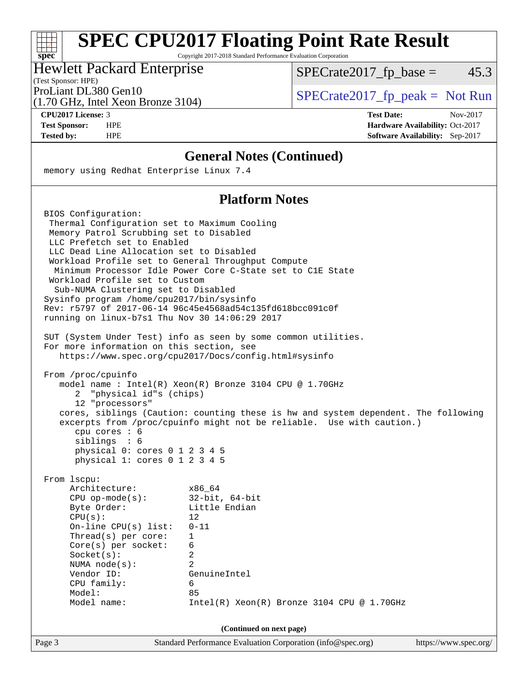Copyright 2017-2018 Standard Performance Evaluation Corporation

### Hewlett Packard Enterprise

(Test Sponsor: HPE)

 $SPECTate2017<sub>fp</sub> base =  $45.3$$ 

(1.70 GHz, Intel Xeon Bronze 3104)

ProLiant DL380 Gen10  $SPECTA = 3104$   $SPECTA = 2017$  fp\_peak = Not Run

**[spec](http://www.spec.org/)**

a ta ƙ

**[CPU2017 License:](http://www.spec.org/auto/cpu2017/Docs/result-fields.html#CPU2017License)** 3 **[Test Date:](http://www.spec.org/auto/cpu2017/Docs/result-fields.html#TestDate)** Nov-2017 **[Test Sponsor:](http://www.spec.org/auto/cpu2017/Docs/result-fields.html#TestSponsor)** HPE **[Hardware Availability:](http://www.spec.org/auto/cpu2017/Docs/result-fields.html#HardwareAvailability)** Oct-2017 **[Tested by:](http://www.spec.org/auto/cpu2017/Docs/result-fields.html#Testedby)** HPE **[Software Availability:](http://www.spec.org/auto/cpu2017/Docs/result-fields.html#SoftwareAvailability)** Sep-2017

## **[General Notes \(Continued\)](http://www.spec.org/auto/cpu2017/Docs/result-fields.html#GeneralNotes)**

memory using Redhat Enterprise Linux 7.4

## **[Platform Notes](http://www.spec.org/auto/cpu2017/Docs/result-fields.html#PlatformNotes)**

 BIOS Configuration: Thermal Configuration set to Maximum Cooling Memory Patrol Scrubbing set to Disabled LLC Prefetch set to Enabled LLC Dead Line Allocation set to Disabled Workload Profile set to General Throughput Compute Minimum Processor Idle Power Core C-State set to C1E State Workload Profile set to Custom Sub-NUMA Clustering set to Disabled Sysinfo program /home/cpu2017/bin/sysinfo Rev: r5797 of 2017-06-14 96c45e4568ad54c135fd618bcc091c0f running on linux-b7s1 Thu Nov 30 14:06:29 2017 SUT (System Under Test) info as seen by some common utilities. For more information on this section, see <https://www.spec.org/cpu2017/Docs/config.html#sysinfo> From /proc/cpuinfo model name : Intel(R) Xeon(R) Bronze 3104 CPU @ 1.70GHz 2 "physical id"s (chips) 12 "processors" cores, siblings (Caution: counting these is hw and system dependent. The following excerpts from /proc/cpuinfo might not be reliable. Use with caution.) cpu cores : 6 siblings : 6 physical 0: cores 0 1 2 3 4 5 physical 1: cores 0 1 2 3 4 5 From lscpu: Architecture: x86\_64 CPU op-mode(s): 32-bit, 64-bit Byte Order: Little Endian  $CPU(s):$  12 On-line CPU(s) list: 0-11 Thread(s) per core: 1 Core(s) per socket: 6 Socket(s): 2 NUMA node(s): 2 Vendor ID: GenuineIntel CPU family: 6 Model: 85 Model name: Intel(R) Xeon(R) Bronze 3104 CPU @ 1.70GHz **(Continued on next page)**

Page 3 Standard Performance Evaluation Corporation [\(info@spec.org\)](mailto:info@spec.org) <https://www.spec.org/>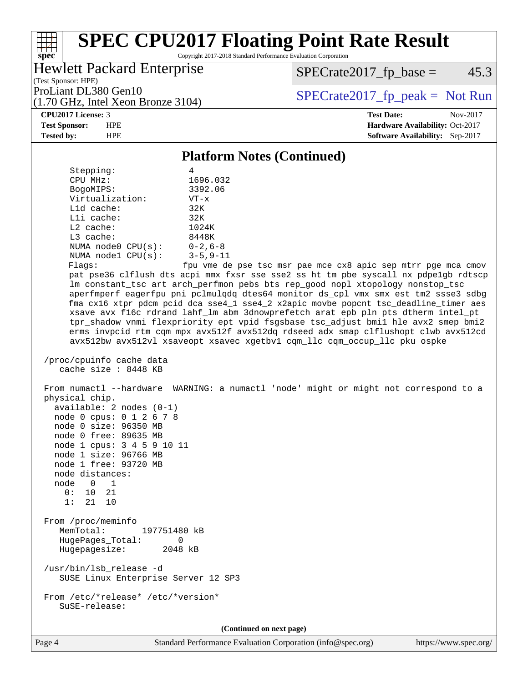Copyright 2017-2018 Standard Performance Evaluation Corporation

## Hewlett Packard Enterprise

 $SPECrate2017_fp\_base = 45.3$ 

(Test Sponsor: HPE) (1.70 GHz, Intel Xeon Bronze 3104)

ProLiant DL380 Gen10<br>(1.70 GHz, Intel Xeon Bronze 3104) [SPECrate2017\\_fp\\_peak =](http://www.spec.org/auto/cpu2017/Docs/result-fields.html#SPECrate2017fppeak) Not Run

### **[CPU2017 License:](http://www.spec.org/auto/cpu2017/Docs/result-fields.html#CPU2017License)** 3 **[Test Date:](http://www.spec.org/auto/cpu2017/Docs/result-fields.html#TestDate)** Nov-2017

**[spec](http://www.spec.org/)**

**[Test Sponsor:](http://www.spec.org/auto/cpu2017/Docs/result-fields.html#TestSponsor)** HPE **[Hardware Availability:](http://www.spec.org/auto/cpu2017/Docs/result-fields.html#HardwareAvailability)** Oct-2017 **[Tested by:](http://www.spec.org/auto/cpu2017/Docs/result-fields.html#Testedby)** HPE **[Software Availability:](http://www.spec.org/auto/cpu2017/Docs/result-fields.html#SoftwareAvailability)** Sep-2017

### **[Platform Notes \(Continued\)](http://www.spec.org/auto/cpu2017/Docs/result-fields.html#PlatformNotes)**

| Stepping:                                                                                                                                                                                                                                                                            | 4                                                                                                                                                                                                                                                                                                                                                                                                                                                                                                                                                                                                                                                                                                                                                                         |  |  |  |  |  |
|--------------------------------------------------------------------------------------------------------------------------------------------------------------------------------------------------------------------------------------------------------------------------------------|---------------------------------------------------------------------------------------------------------------------------------------------------------------------------------------------------------------------------------------------------------------------------------------------------------------------------------------------------------------------------------------------------------------------------------------------------------------------------------------------------------------------------------------------------------------------------------------------------------------------------------------------------------------------------------------------------------------------------------------------------------------------------|--|--|--|--|--|
| CPU MHz:                                                                                                                                                                                                                                                                             | 1696.032                                                                                                                                                                                                                                                                                                                                                                                                                                                                                                                                                                                                                                                                                                                                                                  |  |  |  |  |  |
| BogoMIPS:                                                                                                                                                                                                                                                                            | 3392.06                                                                                                                                                                                                                                                                                                                                                                                                                                                                                                                                                                                                                                                                                                                                                                   |  |  |  |  |  |
| Virtualization:                                                                                                                                                                                                                                                                      | $VT - x$                                                                                                                                                                                                                                                                                                                                                                                                                                                                                                                                                                                                                                                                                                                                                                  |  |  |  |  |  |
| L1d cache:                                                                                                                                                                                                                                                                           | 32K                                                                                                                                                                                                                                                                                                                                                                                                                                                                                                                                                                                                                                                                                                                                                                       |  |  |  |  |  |
| Lli cache:                                                                                                                                                                                                                                                                           | 32K                                                                                                                                                                                                                                                                                                                                                                                                                                                                                                                                                                                                                                                                                                                                                                       |  |  |  |  |  |
| L2 cache:                                                                                                                                                                                                                                                                            | 1024K                                                                                                                                                                                                                                                                                                                                                                                                                                                                                                                                                                                                                                                                                                                                                                     |  |  |  |  |  |
| L3 cache:                                                                                                                                                                                                                                                                            | 8448K                                                                                                                                                                                                                                                                                                                                                                                                                                                                                                                                                                                                                                                                                                                                                                     |  |  |  |  |  |
| NUMA node0 CPU(s):<br>NUMA nodel CPU(s):                                                                                                                                                                                                                                             | $0 - 2$ , 6-8                                                                                                                                                                                                                                                                                                                                                                                                                                                                                                                                                                                                                                                                                                                                                             |  |  |  |  |  |
|                                                                                                                                                                                                                                                                                      | $3 - 5, 9 - 11$                                                                                                                                                                                                                                                                                                                                                                                                                                                                                                                                                                                                                                                                                                                                                           |  |  |  |  |  |
|                                                                                                                                                                                                                                                                                      | Flags:<br>fpu vme de pse tsc msr pae mce cx8 apic sep mtrr pge mca cmov<br>pat pse36 clflush dts acpi mmx fxsr sse sse2 ss ht tm pbe syscall nx pdpelgb rdtscp<br>lm constant_tsc art arch_perfmon pebs bts rep_good nopl xtopology nonstop_tsc<br>aperfmperf eagerfpu pni pclmulqdq dtes64 monitor ds_cpl vmx smx est tm2 ssse3 sdbg<br>fma cx16 xtpr pdcm pcid dca sse4_1 sse4_2 x2apic movbe popcnt tsc_deadline_timer aes<br>xsave avx f16c rdrand lahf_lm abm 3dnowprefetch arat epb pln pts dtherm intel_pt<br>tpr_shadow vnmi flexpriority ept vpid fsgsbase tsc_adjust bmil hle avx2 smep bmi2<br>erms invpcid rtm cqm mpx avx512f avx512dq rdseed adx smap clflushopt clwb avx512cd<br>avx512bw avx512vl xsaveopt xsavec xgetbvl cqm_llc cqm_occup_llc pku ospke |  |  |  |  |  |
| /proc/cpuinfo cache data<br>cache size : 8448 KB                                                                                                                                                                                                                                     |                                                                                                                                                                                                                                                                                                                                                                                                                                                                                                                                                                                                                                                                                                                                                                           |  |  |  |  |  |
| physical chip.<br>$available: 2 nodes (0-1)$<br>node 0 cpus: 0 1 2 6 7 8<br>node 0 size: 96350 MB<br>node 0 free: 89635 MB<br>node 1 cpus: 3 4 5 9 10 11<br>node 1 size: 96766 MB<br>node 1 free: 93720 MB<br>node distances:<br>node 0<br>$\overline{1}$<br>0: 10 21<br>1:<br>21 10 | From numactl --hardware WARNING: a numactl 'node' might or might not correspond to a                                                                                                                                                                                                                                                                                                                                                                                                                                                                                                                                                                                                                                                                                      |  |  |  |  |  |
| From /proc/meminfo<br>MemTotal:<br>197751480 kB<br>HugePages_Total:<br>0<br>2048 kB<br>Hugepagesize:                                                                                                                                                                                 |                                                                                                                                                                                                                                                                                                                                                                                                                                                                                                                                                                                                                                                                                                                                                                           |  |  |  |  |  |
| /usr/bin/lsb_release -d<br>SUSE Linux Enterprise Server 12 SP3                                                                                                                                                                                                                       |                                                                                                                                                                                                                                                                                                                                                                                                                                                                                                                                                                                                                                                                                                                                                                           |  |  |  |  |  |
| From /etc/*release* /etc/*version*<br>SuSE-release:                                                                                                                                                                                                                                  |                                                                                                                                                                                                                                                                                                                                                                                                                                                                                                                                                                                                                                                                                                                                                                           |  |  |  |  |  |
| (Continued on next page)                                                                                                                                                                                                                                                             |                                                                                                                                                                                                                                                                                                                                                                                                                                                                                                                                                                                                                                                                                                                                                                           |  |  |  |  |  |

Page 4 Standard Performance Evaluation Corporation [\(info@spec.org\)](mailto:info@spec.org) <https://www.spec.org/>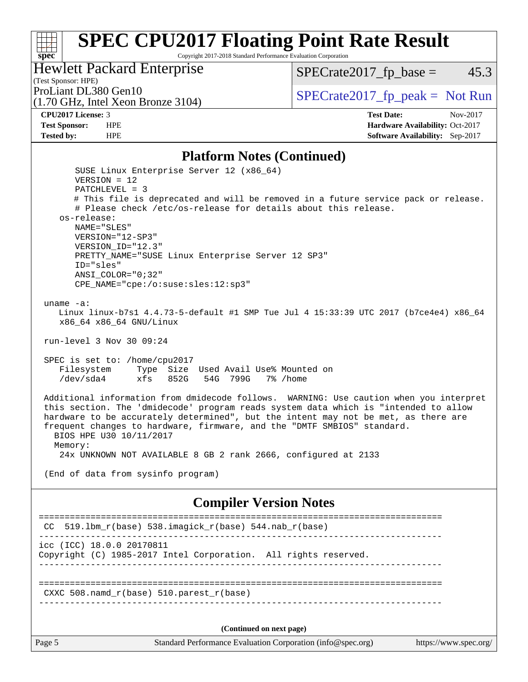Copyright 2017-2018 Standard Performance Evaluation Corporation

## Hewlett Packard Enterprise

 $SPECTate2017_fp\_base = 45.3$ 

(Test Sponsor: HPE)<br>ProLiant DL380 Gen10

(1.70 GHz, Intel Xeon Bronze 3104)

 $SPECTate 2017_fp\_peak = Not Run$ 

**[spec](http://www.spec.org/)**

**[CPU2017 License:](http://www.spec.org/auto/cpu2017/Docs/result-fields.html#CPU2017License)** 3 **[Test Date:](http://www.spec.org/auto/cpu2017/Docs/result-fields.html#TestDate)** Nov-2017 **[Test Sponsor:](http://www.spec.org/auto/cpu2017/Docs/result-fields.html#TestSponsor)** HPE **[Hardware Availability:](http://www.spec.org/auto/cpu2017/Docs/result-fields.html#HardwareAvailability)** Oct-2017 **[Tested by:](http://www.spec.org/auto/cpu2017/Docs/result-fields.html#Testedby)** HPE **[Software Availability:](http://www.spec.org/auto/cpu2017/Docs/result-fields.html#SoftwareAvailability)** Sep-2017

### **[Platform Notes \(Continued\)](http://www.spec.org/auto/cpu2017/Docs/result-fields.html#PlatformNotes)**

| os-release:<br>NAME="SLES"<br>VERSION="12-SP3"<br>VERSION_ID="12.3"<br>PRETTY_NAME="SUSE Linux Enterprise Server 12 SP3"<br>ID="sles"<br>$ANSI$ _COLOR=" $0:32$ "<br>CPE_NAME="cpe:/o:suse:sles:12:sp3"<br>uname $-a$ :<br>Linux linux-b7s1 4.4.73-5-default #1 SMP Tue Jul 4 15:33:39 UTC 2017 (b7ce4e4) x86_64<br>x86_64 x86_64 GNU/Linux<br>run-level 3 Nov 30 09:24<br>SPEC is set to: /home/cpu2017<br>Filesystem Type Size Used Avail Use% Mounted on<br>/dev/sda4 xfs 852G 54G 799G 7% /home<br>Additional information from dmidecode follows. WARNING: Use caution when you interpret<br>this section. The 'dmidecode' program reads system data which is "intended to allow<br>hardware to be accurately determined", but the intent may not be met, as there are<br>frequent changes to hardware, firmware, and the "DMTF SMBIOS" standard.<br>BIOS HPE U30 10/11/2017<br>Memory:<br>24x UNKNOWN NOT AVAILABLE 8 GB 2 rank 2666, configured at 2133<br>(End of data from sysinfo program)<br><b>Compiler Version Notes</b><br>CC 519.1bm_r(base) 538.imagick_r(base) 544.nab_r(base)<br>icc (ICC) 18.0.0 20170811<br>Copyright (C) 1985-2017 Intel Corporation. All rights reserved.<br>$CXXC 508.namd_r(base) 510.parest_r(base)$<br>(Continued on next page) |
|--------------------------------------------------------------------------------------------------------------------------------------------------------------------------------------------------------------------------------------------------------------------------------------------------------------------------------------------------------------------------------------------------------------------------------------------------------------------------------------------------------------------------------------------------------------------------------------------------------------------------------------------------------------------------------------------------------------------------------------------------------------------------------------------------------------------------------------------------------------------------------------------------------------------------------------------------------------------------------------------------------------------------------------------------------------------------------------------------------------------------------------------------------------------------------------------------------------------------------------------------------------------------|
|                                                                                                                                                                                                                                                                                                                                                                                                                                                                                                                                                                                                                                                                                                                                                                                                                                                                                                                                                                                                                                                                                                                                                                                                                                                                          |
|                                                                                                                                                                                                                                                                                                                                                                                                                                                                                                                                                                                                                                                                                                                                                                                                                                                                                                                                                                                                                                                                                                                                                                                                                                                                          |
|                                                                                                                                                                                                                                                                                                                                                                                                                                                                                                                                                                                                                                                                                                                                                                                                                                                                                                                                                                                                                                                                                                                                                                                                                                                                          |
|                                                                                                                                                                                                                                                                                                                                                                                                                                                                                                                                                                                                                                                                                                                                                                                                                                                                                                                                                                                                                                                                                                                                                                                                                                                                          |
|                                                                                                                                                                                                                                                                                                                                                                                                                                                                                                                                                                                                                                                                                                                                                                                                                                                                                                                                                                                                                                                                                                                                                                                                                                                                          |
|                                                                                                                                                                                                                                                                                                                                                                                                                                                                                                                                                                                                                                                                                                                                                                                                                                                                                                                                                                                                                                                                                                                                                                                                                                                                          |
|                                                                                                                                                                                                                                                                                                                                                                                                                                                                                                                                                                                                                                                                                                                                                                                                                                                                                                                                                                                                                                                                                                                                                                                                                                                                          |
|                                                                                                                                                                                                                                                                                                                                                                                                                                                                                                                                                                                                                                                                                                                                                                                                                                                                                                                                                                                                                                                                                                                                                                                                                                                                          |
|                                                                                                                                                                                                                                                                                                                                                                                                                                                                                                                                                                                                                                                                                                                                                                                                                                                                                                                                                                                                                                                                                                                                                                                                                                                                          |
|                                                                                                                                                                                                                                                                                                                                                                                                                                                                                                                                                                                                                                                                                                                                                                                                                                                                                                                                                                                                                                                                                                                                                                                                                                                                          |
| SUSE Linux Enterprise Server 12 (x86_64)<br>$VERSION = 12$<br>$PATCHLEVEL = 3$<br># This file is deprecated and will be removed in a future service pack or release.<br># Please check /etc/os-release for details about this release.                                                                                                                                                                                                                                                                                                                                                                                                                                                                                                                                                                                                                                                                                                                                                                                                                                                                                                                                                                                                                                   |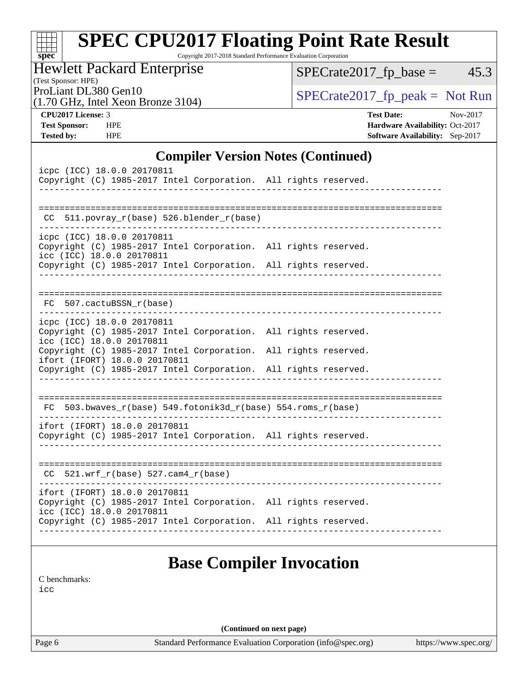| <b>SPEC CPU2017 Floating Point Rate Result</b><br>Copyright 2017-2018 Standard Performance Evaluation Corporation<br>$spec^*$ |                                        |  |  |  |  |  |  |
|-------------------------------------------------------------------------------------------------------------------------------|----------------------------------------|--|--|--|--|--|--|
| <b>Hewlett Packard Enterprise</b><br>(Test Sponsor: HPE)                                                                      | 45.3<br>$SPECrate2017_fp\_base =$      |  |  |  |  |  |  |
| ProLiant DL380 Gen10<br>$(1.70 \text{ GHz}, \text{Intel Xeon Bronze } 3104)$                                                  | $SPECrate2017fr peak = Not Run$        |  |  |  |  |  |  |
| CPU <sub>2017</sub> License: 3                                                                                                | <b>Test Date:</b><br>$Nov-2017$        |  |  |  |  |  |  |
| <b>Test Sponsor:</b><br><b>HPE</b>                                                                                            | Hardware Availability: Oct-2017        |  |  |  |  |  |  |
| <b>Tested by:</b><br><b>HPE</b>                                                                                               | <b>Software Availability:</b> Sep-2017 |  |  |  |  |  |  |
| <b>Compiler Version Notes (Continued)</b>                                                                                     |                                        |  |  |  |  |  |  |
| icpc (ICC) 18.0.0 20170811                                                                                                    |                                        |  |  |  |  |  |  |
| Copyright (C) 1985-2017 Intel Corporation. All rights reserved.                                                               |                                        |  |  |  |  |  |  |
|                                                                                                                               |                                        |  |  |  |  |  |  |
| 511. povray $r(base)$ 526. blender $r(base)$<br>CC                                                                            |                                        |  |  |  |  |  |  |
| icpc (ICC) 18.0.0 20170811<br>Copyright (C) 1985-2017 Intel Corporation. All rights reserved.                                 |                                        |  |  |  |  |  |  |

| icpc (ICC) 18.0.0 20170811<br>Copyright (C) 1985-2017 Intel Corporation. All rights reserved.<br>______________________________________                                                       |  |
|-----------------------------------------------------------------------------------------------------------------------------------------------------------------------------------------------|--|
| $CC$ 511.povray_r(base) 526.blender_r(base)                                                                                                                                                   |  |
| icpc (ICC) 18.0.0 20170811<br>Copyright (C) 1985-2017 Intel Corporation. All rights reserved.<br>icc (ICC) 18.0.0 20170811<br>Copyright (C) 1985-2017 Intel Corporation. All rights reserved. |  |
|                                                                                                                                                                                               |  |
| FC 507.cactuBSSN_r(base)                                                                                                                                                                      |  |
| icpc (ICC) 18.0.0 20170811<br>Copyright (C) 1985-2017 Intel Corporation. All rights reserved.<br>icc (ICC) 18.0.0 20170811                                                                    |  |
| Copyright (C) 1985-2017 Intel Corporation. All rights reserved.<br>ifort (IFORT) 18.0.0 20170811<br>Copyright (C) 1985-2017 Intel Corporation. All rights reserved.                           |  |
|                                                                                                                                                                                               |  |
| $FC 503.bwaves_r(base) 549.fotonik3d_r(base) 554.roms_r(base)$<br>_____________________________<br>-----------------------                                                                    |  |
| ifort (IFORT) 18.0.0 20170811<br>Copyright (C) 1985-2017 Intel Corporation. All rights reserved.                                                                                              |  |
| $CC$ 521.wrf_ $r(base)$ 527.cam4_ $r(base)$                                                                                                                                                   |  |
| ifort (IFORT) 18.0.0 20170811<br>Copyright (C) 1985-2017 Intel Corporation. All rights reserved.<br>icc (ICC) 18.0.0 20170811                                                                 |  |
| Copyright (C) 1985-2017 Intel Corporation. All rights reserved.                                                                                                                               |  |
|                                                                                                                                                                                               |  |

# **[Base Compiler Invocation](http://www.spec.org/auto/cpu2017/Docs/result-fields.html#BaseCompilerInvocation)**

[C benchmarks](http://www.spec.org/auto/cpu2017/Docs/result-fields.html#Cbenchmarks):

[icc](http://www.spec.org/cpu2017/results/res2018q1/cpu2017-20171212-01837.flags.html#user_CCbase_intel_icc_18.0_66fc1ee009f7361af1fbd72ca7dcefbb700085f36577c54f309893dd4ec40d12360134090235512931783d35fd58c0460139e722d5067c5574d8eaf2b3e37e92)

**(Continued on next page)**

Page 6 Standard Performance Evaluation Corporation [\(info@spec.org\)](mailto:info@spec.org) <https://www.spec.org/>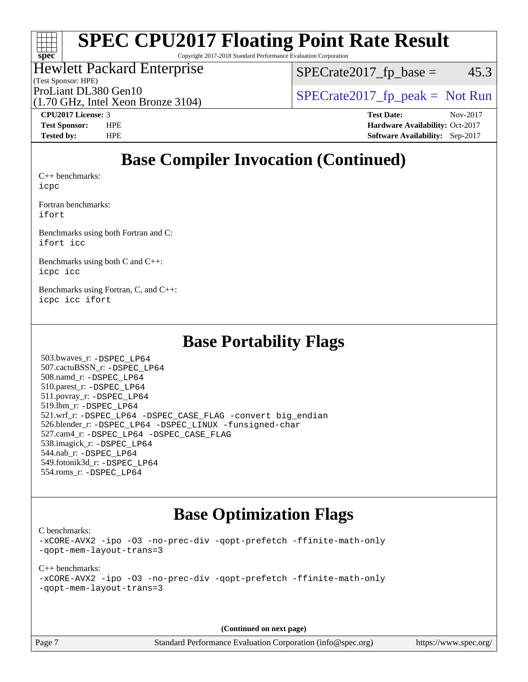# **[spec](http://www.spec.org/)**

# **[SPEC CPU2017 Floating Point Rate Result](http://www.spec.org/auto/cpu2017/Docs/result-fields.html#SPECCPU2017FloatingPointRateResult)**

Copyright 2017-2018 Standard Performance Evaluation Corporation

## Hewlett Packard Enterprise

(Test Sponsor: HPE)

 $SPECTate2017<sub>fp</sub> base =  $45.3$$ 

ProLiant DL380 Gen10  $SPECTR_{170}$  [SPECrate2017\\_fp\\_peak =](http://www.spec.org/auto/cpu2017/Docs/result-fields.html#SPECrate2017fppeak) Not Run

(1.70 GHz, Intel Xeon Bronze 3104)

**[CPU2017 License:](http://www.spec.org/auto/cpu2017/Docs/result-fields.html#CPU2017License)** 3 **[Test Date:](http://www.spec.org/auto/cpu2017/Docs/result-fields.html#TestDate)** Nov-2017

**[Test Sponsor:](http://www.spec.org/auto/cpu2017/Docs/result-fields.html#TestSponsor)** HPE **[Hardware Availability:](http://www.spec.org/auto/cpu2017/Docs/result-fields.html#HardwareAvailability)** Oct-2017 **[Tested by:](http://www.spec.org/auto/cpu2017/Docs/result-fields.html#Testedby)** HPE **[Software Availability:](http://www.spec.org/auto/cpu2017/Docs/result-fields.html#SoftwareAvailability)** Sep-2017

# **[Base Compiler Invocation \(Continued\)](http://www.spec.org/auto/cpu2017/Docs/result-fields.html#BaseCompilerInvocation)**

[C++ benchmarks:](http://www.spec.org/auto/cpu2017/Docs/result-fields.html#CXXbenchmarks) [icpc](http://www.spec.org/cpu2017/results/res2018q1/cpu2017-20171212-01837.flags.html#user_CXXbase_intel_icpc_18.0_c510b6838c7f56d33e37e94d029a35b4a7bccf4766a728ee175e80a419847e808290a9b78be685c44ab727ea267ec2f070ec5dc83b407c0218cded6866a35d07)

[Fortran benchmarks](http://www.spec.org/auto/cpu2017/Docs/result-fields.html#Fortranbenchmarks): [ifort](http://www.spec.org/cpu2017/results/res2018q1/cpu2017-20171212-01837.flags.html#user_FCbase_intel_ifort_18.0_8111460550e3ca792625aed983ce982f94888b8b503583aa7ba2b8303487b4d8a21a13e7191a45c5fd58ff318f48f9492884d4413fa793fd88dd292cad7027ca)

[Benchmarks using both Fortran and C](http://www.spec.org/auto/cpu2017/Docs/result-fields.html#BenchmarksusingbothFortranandC): [ifort](http://www.spec.org/cpu2017/results/res2018q1/cpu2017-20171212-01837.flags.html#user_CC_FCbase_intel_ifort_18.0_8111460550e3ca792625aed983ce982f94888b8b503583aa7ba2b8303487b4d8a21a13e7191a45c5fd58ff318f48f9492884d4413fa793fd88dd292cad7027ca) [icc](http://www.spec.org/cpu2017/results/res2018q1/cpu2017-20171212-01837.flags.html#user_CC_FCbase_intel_icc_18.0_66fc1ee009f7361af1fbd72ca7dcefbb700085f36577c54f309893dd4ec40d12360134090235512931783d35fd58c0460139e722d5067c5574d8eaf2b3e37e92)

[Benchmarks using both C and C++](http://www.spec.org/auto/cpu2017/Docs/result-fields.html#BenchmarksusingbothCandCXX): [icpc](http://www.spec.org/cpu2017/results/res2018q1/cpu2017-20171212-01837.flags.html#user_CC_CXXbase_intel_icpc_18.0_c510b6838c7f56d33e37e94d029a35b4a7bccf4766a728ee175e80a419847e808290a9b78be685c44ab727ea267ec2f070ec5dc83b407c0218cded6866a35d07) [icc](http://www.spec.org/cpu2017/results/res2018q1/cpu2017-20171212-01837.flags.html#user_CC_CXXbase_intel_icc_18.0_66fc1ee009f7361af1fbd72ca7dcefbb700085f36577c54f309893dd4ec40d12360134090235512931783d35fd58c0460139e722d5067c5574d8eaf2b3e37e92)

[Benchmarks using Fortran, C, and C++:](http://www.spec.org/auto/cpu2017/Docs/result-fields.html#BenchmarksusingFortranCandCXX) [icpc](http://www.spec.org/cpu2017/results/res2018q1/cpu2017-20171212-01837.flags.html#user_CC_CXX_FCbase_intel_icpc_18.0_c510b6838c7f56d33e37e94d029a35b4a7bccf4766a728ee175e80a419847e808290a9b78be685c44ab727ea267ec2f070ec5dc83b407c0218cded6866a35d07) [icc](http://www.spec.org/cpu2017/results/res2018q1/cpu2017-20171212-01837.flags.html#user_CC_CXX_FCbase_intel_icc_18.0_66fc1ee009f7361af1fbd72ca7dcefbb700085f36577c54f309893dd4ec40d12360134090235512931783d35fd58c0460139e722d5067c5574d8eaf2b3e37e92) [ifort](http://www.spec.org/cpu2017/results/res2018q1/cpu2017-20171212-01837.flags.html#user_CC_CXX_FCbase_intel_ifort_18.0_8111460550e3ca792625aed983ce982f94888b8b503583aa7ba2b8303487b4d8a21a13e7191a45c5fd58ff318f48f9492884d4413fa793fd88dd292cad7027ca)

## **[Base Portability Flags](http://www.spec.org/auto/cpu2017/Docs/result-fields.html#BasePortabilityFlags)**

 503.bwaves\_r: [-DSPEC\\_LP64](http://www.spec.org/cpu2017/results/res2018q1/cpu2017-20171212-01837.flags.html#suite_basePORTABILITY503_bwaves_r_DSPEC_LP64) 507.cactuBSSN\_r: [-DSPEC\\_LP64](http://www.spec.org/cpu2017/results/res2018q1/cpu2017-20171212-01837.flags.html#suite_basePORTABILITY507_cactuBSSN_r_DSPEC_LP64) 508.namd\_r: [-DSPEC\\_LP64](http://www.spec.org/cpu2017/results/res2018q1/cpu2017-20171212-01837.flags.html#suite_basePORTABILITY508_namd_r_DSPEC_LP64) 510.parest\_r: [-DSPEC\\_LP64](http://www.spec.org/cpu2017/results/res2018q1/cpu2017-20171212-01837.flags.html#suite_basePORTABILITY510_parest_r_DSPEC_LP64) 511.povray\_r: [-DSPEC\\_LP64](http://www.spec.org/cpu2017/results/res2018q1/cpu2017-20171212-01837.flags.html#suite_basePORTABILITY511_povray_r_DSPEC_LP64) 519.lbm\_r: [-DSPEC\\_LP64](http://www.spec.org/cpu2017/results/res2018q1/cpu2017-20171212-01837.flags.html#suite_basePORTABILITY519_lbm_r_DSPEC_LP64) 521.wrf\_r: [-DSPEC\\_LP64](http://www.spec.org/cpu2017/results/res2018q1/cpu2017-20171212-01837.flags.html#suite_basePORTABILITY521_wrf_r_DSPEC_LP64) [-DSPEC\\_CASE\\_FLAG](http://www.spec.org/cpu2017/results/res2018q1/cpu2017-20171212-01837.flags.html#b521.wrf_r_baseCPORTABILITY_DSPEC_CASE_FLAG) [-convert big\\_endian](http://www.spec.org/cpu2017/results/res2018q1/cpu2017-20171212-01837.flags.html#user_baseFPORTABILITY521_wrf_r_convert_big_endian_c3194028bc08c63ac5d04de18c48ce6d347e4e562e8892b8bdbdc0214820426deb8554edfa529a3fb25a586e65a3d812c835984020483e7e73212c4d31a38223) 526.blender\_r: [-DSPEC\\_LP64](http://www.spec.org/cpu2017/results/res2018q1/cpu2017-20171212-01837.flags.html#suite_basePORTABILITY526_blender_r_DSPEC_LP64) [-DSPEC\\_LINUX](http://www.spec.org/cpu2017/results/res2018q1/cpu2017-20171212-01837.flags.html#b526.blender_r_baseCPORTABILITY_DSPEC_LINUX) [-funsigned-char](http://www.spec.org/cpu2017/results/res2018q1/cpu2017-20171212-01837.flags.html#user_baseCPORTABILITY526_blender_r_force_uchar_40c60f00ab013830e2dd6774aeded3ff59883ba5a1fc5fc14077f794d777847726e2a5858cbc7672e36e1b067e7e5c1d9a74f7176df07886a243d7cc18edfe67) 527.cam4\_r: [-DSPEC\\_LP64](http://www.spec.org/cpu2017/results/res2018q1/cpu2017-20171212-01837.flags.html#suite_basePORTABILITY527_cam4_r_DSPEC_LP64) [-DSPEC\\_CASE\\_FLAG](http://www.spec.org/cpu2017/results/res2018q1/cpu2017-20171212-01837.flags.html#b527.cam4_r_baseCPORTABILITY_DSPEC_CASE_FLAG) 538.imagick\_r: [-DSPEC\\_LP64](http://www.spec.org/cpu2017/results/res2018q1/cpu2017-20171212-01837.flags.html#suite_basePORTABILITY538_imagick_r_DSPEC_LP64) 544.nab\_r: [-DSPEC\\_LP64](http://www.spec.org/cpu2017/results/res2018q1/cpu2017-20171212-01837.flags.html#suite_basePORTABILITY544_nab_r_DSPEC_LP64) 549.fotonik3d\_r: [-DSPEC\\_LP64](http://www.spec.org/cpu2017/results/res2018q1/cpu2017-20171212-01837.flags.html#suite_basePORTABILITY549_fotonik3d_r_DSPEC_LP64) 554.roms\_r: [-DSPEC\\_LP64](http://www.spec.org/cpu2017/results/res2018q1/cpu2017-20171212-01837.flags.html#suite_basePORTABILITY554_roms_r_DSPEC_LP64)

# **[Base Optimization Flags](http://www.spec.org/auto/cpu2017/Docs/result-fields.html#BaseOptimizationFlags)**

[C benchmarks](http://www.spec.org/auto/cpu2017/Docs/result-fields.html#Cbenchmarks):

[-xCORE-AVX2](http://www.spec.org/cpu2017/results/res2018q1/cpu2017-20171212-01837.flags.html#user_CCbase_f-xCORE-AVX2) [-ipo](http://www.spec.org/cpu2017/results/res2018q1/cpu2017-20171212-01837.flags.html#user_CCbase_f-ipo) [-O3](http://www.spec.org/cpu2017/results/res2018q1/cpu2017-20171212-01837.flags.html#user_CCbase_f-O3) [-no-prec-div](http://www.spec.org/cpu2017/results/res2018q1/cpu2017-20171212-01837.flags.html#user_CCbase_f-no-prec-div) [-qopt-prefetch](http://www.spec.org/cpu2017/results/res2018q1/cpu2017-20171212-01837.flags.html#user_CCbase_f-qopt-prefetch) [-ffinite-math-only](http://www.spec.org/cpu2017/results/res2018q1/cpu2017-20171212-01837.flags.html#user_CCbase_f_finite_math_only_cb91587bd2077682c4b38af759c288ed7c732db004271a9512da14a4f8007909a5f1427ecbf1a0fb78ff2a814402c6114ac565ca162485bbcae155b5e4258871) [-qopt-mem-layout-trans=3](http://www.spec.org/cpu2017/results/res2018q1/cpu2017-20171212-01837.flags.html#user_CCbase_f-qopt-mem-layout-trans_de80db37974c74b1f0e20d883f0b675c88c3b01e9d123adea9b28688d64333345fb62bc4a798493513fdb68f60282f9a726aa07f478b2f7113531aecce732043)

[C++ benchmarks:](http://www.spec.org/auto/cpu2017/Docs/result-fields.html#CXXbenchmarks) [-xCORE-AVX2](http://www.spec.org/cpu2017/results/res2018q1/cpu2017-20171212-01837.flags.html#user_CXXbase_f-xCORE-AVX2) [-ipo](http://www.spec.org/cpu2017/results/res2018q1/cpu2017-20171212-01837.flags.html#user_CXXbase_f-ipo) [-O3](http://www.spec.org/cpu2017/results/res2018q1/cpu2017-20171212-01837.flags.html#user_CXXbase_f-O3) [-no-prec-div](http://www.spec.org/cpu2017/results/res2018q1/cpu2017-20171212-01837.flags.html#user_CXXbase_f-no-prec-div) [-qopt-prefetch](http://www.spec.org/cpu2017/results/res2018q1/cpu2017-20171212-01837.flags.html#user_CXXbase_f-qopt-prefetch) [-ffinite-math-only](http://www.spec.org/cpu2017/results/res2018q1/cpu2017-20171212-01837.flags.html#user_CXXbase_f_finite_math_only_cb91587bd2077682c4b38af759c288ed7c732db004271a9512da14a4f8007909a5f1427ecbf1a0fb78ff2a814402c6114ac565ca162485bbcae155b5e4258871) [-qopt-mem-layout-trans=3](http://www.spec.org/cpu2017/results/res2018q1/cpu2017-20171212-01837.flags.html#user_CXXbase_f-qopt-mem-layout-trans_de80db37974c74b1f0e20d883f0b675c88c3b01e9d123adea9b28688d64333345fb62bc4a798493513fdb68f60282f9a726aa07f478b2f7113531aecce732043)

**(Continued on next page)**

Page 7 Standard Performance Evaluation Corporation [\(info@spec.org\)](mailto:info@spec.org) <https://www.spec.org/>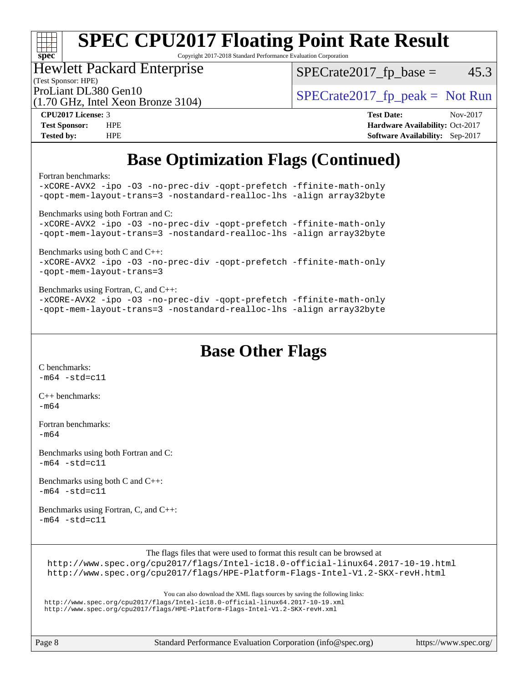# **[spec](http://www.spec.org/)**

# **[SPEC CPU2017 Floating Point Rate Result](http://www.spec.org/auto/cpu2017/Docs/result-fields.html#SPECCPU2017FloatingPointRateResult)**

Copyright 2017-2018 Standard Performance Evaluation Corporation

### Hewlett Packard Enterprise

(1.70 GHz, Intel Xeon Bronze 3104)

 $SPECTate2017<sub>fp</sub> base =  $45.3$$ 

(Test Sponsor: HPE)

ProLiant DL380 Gen10  $SPECTA = 3104$   $SPECTA = 2017$  fp\_peak = Not Run

**[CPU2017 License:](http://www.spec.org/auto/cpu2017/Docs/result-fields.html#CPU2017License)** 3 **[Test Date:](http://www.spec.org/auto/cpu2017/Docs/result-fields.html#TestDate)** Nov-2017 **[Test Sponsor:](http://www.spec.org/auto/cpu2017/Docs/result-fields.html#TestSponsor)** HPE **[Hardware Availability:](http://www.spec.org/auto/cpu2017/Docs/result-fields.html#HardwareAvailability)** Oct-2017 **[Tested by:](http://www.spec.org/auto/cpu2017/Docs/result-fields.html#Testedby)** HPE **[Software Availability:](http://www.spec.org/auto/cpu2017/Docs/result-fields.html#SoftwareAvailability)** Sep-2017

# **[Base Optimization Flags \(Continued\)](http://www.spec.org/auto/cpu2017/Docs/result-fields.html#BaseOptimizationFlags)**

[Fortran benchmarks](http://www.spec.org/auto/cpu2017/Docs/result-fields.html#Fortranbenchmarks):

[-xCORE-AVX2](http://www.spec.org/cpu2017/results/res2018q1/cpu2017-20171212-01837.flags.html#user_FCbase_f-xCORE-AVX2) [-ipo](http://www.spec.org/cpu2017/results/res2018q1/cpu2017-20171212-01837.flags.html#user_FCbase_f-ipo) [-O3](http://www.spec.org/cpu2017/results/res2018q1/cpu2017-20171212-01837.flags.html#user_FCbase_f-O3) [-no-prec-div](http://www.spec.org/cpu2017/results/res2018q1/cpu2017-20171212-01837.flags.html#user_FCbase_f-no-prec-div) [-qopt-prefetch](http://www.spec.org/cpu2017/results/res2018q1/cpu2017-20171212-01837.flags.html#user_FCbase_f-qopt-prefetch) [-ffinite-math-only](http://www.spec.org/cpu2017/results/res2018q1/cpu2017-20171212-01837.flags.html#user_FCbase_f_finite_math_only_cb91587bd2077682c4b38af759c288ed7c732db004271a9512da14a4f8007909a5f1427ecbf1a0fb78ff2a814402c6114ac565ca162485bbcae155b5e4258871) [-qopt-mem-layout-trans=3](http://www.spec.org/cpu2017/results/res2018q1/cpu2017-20171212-01837.flags.html#user_FCbase_f-qopt-mem-layout-trans_de80db37974c74b1f0e20d883f0b675c88c3b01e9d123adea9b28688d64333345fb62bc4a798493513fdb68f60282f9a726aa07f478b2f7113531aecce732043) [-nostandard-realloc-lhs](http://www.spec.org/cpu2017/results/res2018q1/cpu2017-20171212-01837.flags.html#user_FCbase_f_2003_std_realloc_82b4557e90729c0f113870c07e44d33d6f5a304b4f63d4c15d2d0f1fab99f5daaed73bdb9275d9ae411527f28b936061aa8b9c8f2d63842963b95c9dd6426b8a) [-align array32byte](http://www.spec.org/cpu2017/results/res2018q1/cpu2017-20171212-01837.flags.html#user_FCbase_align_array32byte_b982fe038af199962ba9a80c053b8342c548c85b40b8e86eb3cc33dee0d7986a4af373ac2d51c3f7cf710a18d62fdce2948f201cd044323541f22fc0fffc51b6) [Benchmarks using both Fortran and C](http://www.spec.org/auto/cpu2017/Docs/result-fields.html#BenchmarksusingbothFortranandC): [-xCORE-AVX2](http://www.spec.org/cpu2017/results/res2018q1/cpu2017-20171212-01837.flags.html#user_CC_FCbase_f-xCORE-AVX2) [-ipo](http://www.spec.org/cpu2017/results/res2018q1/cpu2017-20171212-01837.flags.html#user_CC_FCbase_f-ipo) [-O3](http://www.spec.org/cpu2017/results/res2018q1/cpu2017-20171212-01837.flags.html#user_CC_FCbase_f-O3) [-no-prec-div](http://www.spec.org/cpu2017/results/res2018q1/cpu2017-20171212-01837.flags.html#user_CC_FCbase_f-no-prec-div) [-qopt-prefetch](http://www.spec.org/cpu2017/results/res2018q1/cpu2017-20171212-01837.flags.html#user_CC_FCbase_f-qopt-prefetch) [-ffinite-math-only](http://www.spec.org/cpu2017/results/res2018q1/cpu2017-20171212-01837.flags.html#user_CC_FCbase_f_finite_math_only_cb91587bd2077682c4b38af759c288ed7c732db004271a9512da14a4f8007909a5f1427ecbf1a0fb78ff2a814402c6114ac565ca162485bbcae155b5e4258871) [-qopt-mem-layout-trans=3](http://www.spec.org/cpu2017/results/res2018q1/cpu2017-20171212-01837.flags.html#user_CC_FCbase_f-qopt-mem-layout-trans_de80db37974c74b1f0e20d883f0b675c88c3b01e9d123adea9b28688d64333345fb62bc4a798493513fdb68f60282f9a726aa07f478b2f7113531aecce732043) [-nostandard-realloc-lhs](http://www.spec.org/cpu2017/results/res2018q1/cpu2017-20171212-01837.flags.html#user_CC_FCbase_f_2003_std_realloc_82b4557e90729c0f113870c07e44d33d6f5a304b4f63d4c15d2d0f1fab99f5daaed73bdb9275d9ae411527f28b936061aa8b9c8f2d63842963b95c9dd6426b8a) [-align array32byte](http://www.spec.org/cpu2017/results/res2018q1/cpu2017-20171212-01837.flags.html#user_CC_FCbase_align_array32byte_b982fe038af199962ba9a80c053b8342c548c85b40b8e86eb3cc33dee0d7986a4af373ac2d51c3f7cf710a18d62fdce2948f201cd044323541f22fc0fffc51b6) [Benchmarks using both C and C++](http://www.spec.org/auto/cpu2017/Docs/result-fields.html#BenchmarksusingbothCandCXX): [-xCORE-AVX2](http://www.spec.org/cpu2017/results/res2018q1/cpu2017-20171212-01837.flags.html#user_CC_CXXbase_f-xCORE-AVX2) [-ipo](http://www.spec.org/cpu2017/results/res2018q1/cpu2017-20171212-01837.flags.html#user_CC_CXXbase_f-ipo) [-O3](http://www.spec.org/cpu2017/results/res2018q1/cpu2017-20171212-01837.flags.html#user_CC_CXXbase_f-O3) [-no-prec-div](http://www.spec.org/cpu2017/results/res2018q1/cpu2017-20171212-01837.flags.html#user_CC_CXXbase_f-no-prec-div) [-qopt-prefetch](http://www.spec.org/cpu2017/results/res2018q1/cpu2017-20171212-01837.flags.html#user_CC_CXXbase_f-qopt-prefetch) [-ffinite-math-only](http://www.spec.org/cpu2017/results/res2018q1/cpu2017-20171212-01837.flags.html#user_CC_CXXbase_f_finite_math_only_cb91587bd2077682c4b38af759c288ed7c732db004271a9512da14a4f8007909a5f1427ecbf1a0fb78ff2a814402c6114ac565ca162485bbcae155b5e4258871) [-qopt-mem-layout-trans=3](http://www.spec.org/cpu2017/results/res2018q1/cpu2017-20171212-01837.flags.html#user_CC_CXXbase_f-qopt-mem-layout-trans_de80db37974c74b1f0e20d883f0b675c88c3b01e9d123adea9b28688d64333345fb62bc4a798493513fdb68f60282f9a726aa07f478b2f7113531aecce732043) [Benchmarks using Fortran, C, and C++:](http://www.spec.org/auto/cpu2017/Docs/result-fields.html#BenchmarksusingFortranCandCXX) [-xCORE-AVX2](http://www.spec.org/cpu2017/results/res2018q1/cpu2017-20171212-01837.flags.html#user_CC_CXX_FCbase_f-xCORE-AVX2) [-ipo](http://www.spec.org/cpu2017/results/res2018q1/cpu2017-20171212-01837.flags.html#user_CC_CXX_FCbase_f-ipo) [-O3](http://www.spec.org/cpu2017/results/res2018q1/cpu2017-20171212-01837.flags.html#user_CC_CXX_FCbase_f-O3) [-no-prec-div](http://www.spec.org/cpu2017/results/res2018q1/cpu2017-20171212-01837.flags.html#user_CC_CXX_FCbase_f-no-prec-div) [-qopt-prefetch](http://www.spec.org/cpu2017/results/res2018q1/cpu2017-20171212-01837.flags.html#user_CC_CXX_FCbase_f-qopt-prefetch) [-ffinite-math-only](http://www.spec.org/cpu2017/results/res2018q1/cpu2017-20171212-01837.flags.html#user_CC_CXX_FCbase_f_finite_math_only_cb91587bd2077682c4b38af759c288ed7c732db004271a9512da14a4f8007909a5f1427ecbf1a0fb78ff2a814402c6114ac565ca162485bbcae155b5e4258871) [-qopt-mem-layout-trans=3](http://www.spec.org/cpu2017/results/res2018q1/cpu2017-20171212-01837.flags.html#user_CC_CXX_FCbase_f-qopt-mem-layout-trans_de80db37974c74b1f0e20d883f0b675c88c3b01e9d123adea9b28688d64333345fb62bc4a798493513fdb68f60282f9a726aa07f478b2f7113531aecce732043) [-nostandard-realloc-lhs](http://www.spec.org/cpu2017/results/res2018q1/cpu2017-20171212-01837.flags.html#user_CC_CXX_FCbase_f_2003_std_realloc_82b4557e90729c0f113870c07e44d33d6f5a304b4f63d4c15d2d0f1fab99f5daaed73bdb9275d9ae411527f28b936061aa8b9c8f2d63842963b95c9dd6426b8a) [-align array32byte](http://www.spec.org/cpu2017/results/res2018q1/cpu2017-20171212-01837.flags.html#user_CC_CXX_FCbase_align_array32byte_b982fe038af199962ba9a80c053b8342c548c85b40b8e86eb3cc33dee0d7986a4af373ac2d51c3f7cf710a18d62fdce2948f201cd044323541f22fc0fffc51b6)

# **[Base Other Flags](http://www.spec.org/auto/cpu2017/Docs/result-fields.html#BaseOtherFlags)**

[C benchmarks](http://www.spec.org/auto/cpu2017/Docs/result-fields.html#Cbenchmarks):  $-m64 - std= c11$  $-m64 - std= c11$ 

[C++ benchmarks:](http://www.spec.org/auto/cpu2017/Docs/result-fields.html#CXXbenchmarks) [-m64](http://www.spec.org/cpu2017/results/res2018q1/cpu2017-20171212-01837.flags.html#user_CXXbase_intel_intel64_18.0_af43caccfc8ded86e7699f2159af6efc7655f51387b94da716254467f3c01020a5059329e2569e4053f409e7c9202a7efc638f7a6d1ffb3f52dea4a3e31d82ab)

[Fortran benchmarks](http://www.spec.org/auto/cpu2017/Docs/result-fields.html#Fortranbenchmarks): [-m64](http://www.spec.org/cpu2017/results/res2018q1/cpu2017-20171212-01837.flags.html#user_FCbase_intel_intel64_18.0_af43caccfc8ded86e7699f2159af6efc7655f51387b94da716254467f3c01020a5059329e2569e4053f409e7c9202a7efc638f7a6d1ffb3f52dea4a3e31d82ab)

[Benchmarks using both Fortran and C](http://www.spec.org/auto/cpu2017/Docs/result-fields.html#BenchmarksusingbothFortranandC):  $-m64$   $-std=cl1$ 

[Benchmarks using both C and C++](http://www.spec.org/auto/cpu2017/Docs/result-fields.html#BenchmarksusingbothCandCXX):  $-m64 - std= c11$  $-m64 - std= c11$ 

[Benchmarks using Fortran, C, and C++:](http://www.spec.org/auto/cpu2017/Docs/result-fields.html#BenchmarksusingFortranCandCXX)  $-m64 - std = c11$  $-m64 - std = c11$ 

The flags files that were used to format this result can be browsed at

<http://www.spec.org/cpu2017/flags/Intel-ic18.0-official-linux64.2017-10-19.html> <http://www.spec.org/cpu2017/flags/HPE-Platform-Flags-Intel-V1.2-SKX-revH.html>

You can also download the XML flags sources by saving the following links:

<http://www.spec.org/cpu2017/flags/Intel-ic18.0-official-linux64.2017-10-19.xml> <http://www.spec.org/cpu2017/flags/HPE-Platform-Flags-Intel-V1.2-SKX-revH.xml>

Page 8 Standard Performance Evaluation Corporation [\(info@spec.org\)](mailto:info@spec.org) <https://www.spec.org/>